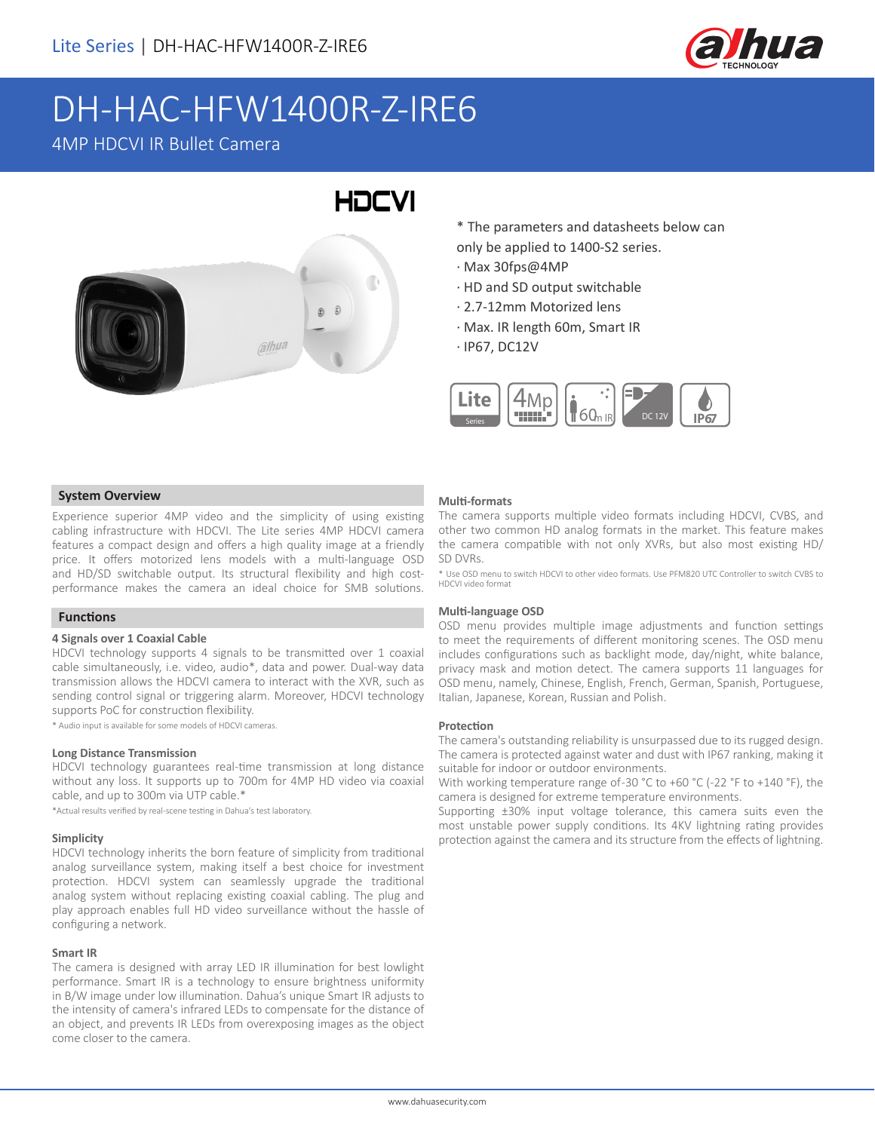

# DH-HAC-HFW1400R-Z-IRE6

4MP HDCVI IR Bullet Camera



\* The parameters and datasheets below can only be applied to 1400-S2 series.

- · Max 30fps@4MP
- · HD and SD output switchable
- · 2.7-12mm Motorized lens
- · Max. IR length 60m, Smart IR
- · IP67, DC12V



# **System Overview**

Experience superior 4MP video and the simplicity of using existing cabling infrastructure with HDCVI. The Lite series 4MP HDCVI camera features a compact design and offers a high quality image at a friendly price. It offers motorized lens models with a multi-language OSD and HD/SD switchable output. Its structural flexibility and high costperformance makes the camera an ideal choice for SMB solutions.

# **Functions**

#### **4 Signals over 1 Coaxial Cable**

HDCVI technology supports 4 signals to be transmitted over 1 coaxial cable simultaneously, i.e. video, audio\*, data and power. Dual-way data transmission allows the HDCVI camera to interact with the XVR, such as sending control signal or triggering alarm. Moreover, HDCVI technology supports PoC for construction flexibility.

\* Audio input is available for some models of HDCVI cameras.

#### **Long Distance Transmission**

HDCVI technology guarantees real-time transmission at long distance without any loss. It supports up to 700m for 4MP HD video via coaxial cable, and up to 300m via UTP cable.\*

\*Actual results verified by real-scene testing in Dahua's test laboratory.

#### **Simplicity**

HDCVI technology inherits the born feature of simplicity from traditional analog surveillance system, making itself a best choice for investment protection. HDCVI system can seamlessly upgrade the traditional analog system without replacing existing coaxial cabling. The plug and play approach enables full HD video surveillance without the hassle of configuring a network.

#### **Smart IR**

The camera is designed with array LED IR illumination for best lowlight performance. Smart IR is a technology to ensure brightness uniformity in B/W image under low illumination. Dahua's unique Smart IR adjusts to the intensity of camera's infrared LEDs to compensate for the distance of an object, and prevents IR LEDs from overexposing images as the object come closer to the camera.

#### **Multi-formats**

The camera supports multiple video formats including HDCVI, CVBS, and other two common HD analog formats in the market. This feature makes the camera compatible with not only XVRs, but also most existing HD/ SD DVRs.

\* Use OSD menu to switch HDCVI to other video formats. Use PFM820 UTC Controller to switch CVBS to HDCVI video format

#### **Multi-language OSD**

OSD menu provides multiple image adjustments and function settings to meet the requirements of different monitoring scenes. The OSD menu includes configurations such as backlight mode, day/night, white balance, privacy mask and motion detect. The camera supports 11 languages for OSD menu, namely, Chinese, English, French, German, Spanish, Portuguese, Italian, Japanese, Korean, Russian and Polish.

#### **Protection**

The camera's outstanding reliability is unsurpassed due to its rugged design. The camera is protected against water and dust with IP67 ranking, making it suitable for indoor or outdoor environments.

With working temperature range of -30 °C to +60 °C (-22 °F to +140 °F), the camera is designed for extreme temperature environments.

Supporting ±30% input voltage tolerance, this camera suits even the most unstable power supply conditions. Its 4KV lightning rating provides protection against the camera and its structure from the effects of lightning.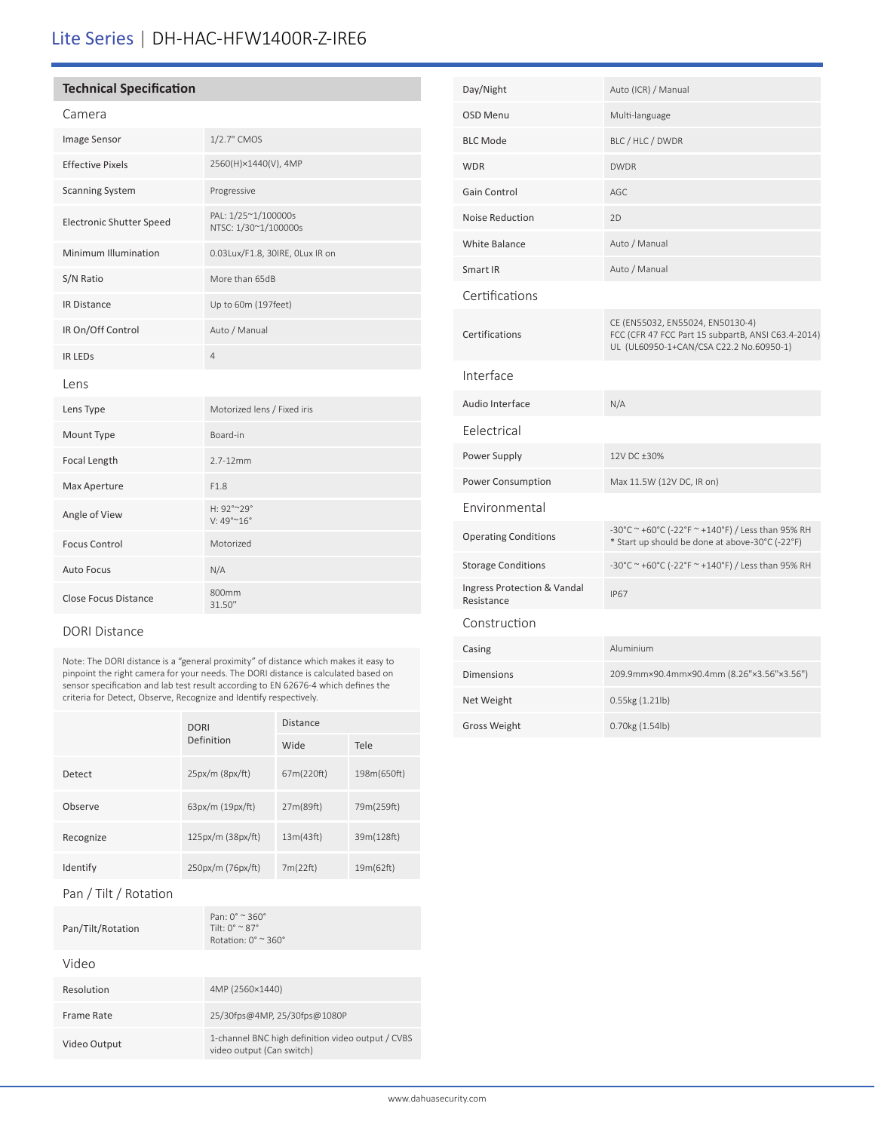# Lite Series | DH-HAC-HFW1400R-Z-IRE6

## **Technical Specification**

|--|

| Image Sensor                | 1/2.7" CMOS                                  |
|-----------------------------|----------------------------------------------|
| <b>Effective Pixels</b>     | 2560(H)×1440(V), 4MP                         |
| <b>Scanning System</b>      | Progressive                                  |
| Electronic Shutter Speed    | PAL: 1/25~1/100000s<br>NTSC: 1/30~1/100000s  |
| Minimum Illumination        | 0.03Lux/F1.8, 30IRE, OLux IR on              |
| S/N Ratio                   | More than 65dB                               |
| <b>IR Distance</b>          | Up to 60m (197feet)                          |
| IR On/Off Control           | Auto / Manual                                |
| <b>IR LEDS</b>              | 4                                            |
| lens                        |                                              |
| Lens Type                   | Motorized lens / Fixed iris                  |
| Mount Type                  | Board-in                                     |
| Focal Length                | $2.7 - 12$ mm                                |
| Max Aperture                | F1.8                                         |
| Angle of View               | H: 92°~29°<br>$V: 49^{\circ}$ ~ $16^{\circ}$ |
| <b>Focus Control</b>        | Motorized                                    |
| <b>Auto Focus</b>           | N/A                                          |
| <b>Close Focus Distance</b> | 800mm<br>31.50"                              |

# DORI Distance

Note: The DORI distance is a "general proximity" of distance which makes it easy to pinpoint the right camera for your needs. The DORI distance is calculated based on sensor specification and lab test result according to EN 62676-4 which defines the criteria for Detect, Observe, Recognize and Identify respectively.

|            | <b>DORI</b>       | <b>Distance</b> |             |  |
|------------|-------------------|-----------------|-------------|--|
| Definition |                   | Wide            | Tele        |  |
| Detect     | 25px/m (8px/ft)   | 67m(220ft)      | 198m(650ft) |  |
| Observe    | 63px/m (19px/ft)  | 27m(89ft)       | 79m(259ft)  |  |
| Recognize  | 125px/m (38px/ft) | 13m(43ft)       | 39m(128ft)  |  |
| Identify   | 250px/m (76px/ft) | 7m(22ft)        | 19m(62ft)   |  |

## Pan / Tilt / Rotation

| Pan/Tilt/Rotation | $Pan: 0^{\circ} \approx 360^{\circ}$<br>Tilt: $0^\circ \approx 87^\circ$<br>Rotation: $0^\circ \approx 360^\circ$ |
|-------------------|-------------------------------------------------------------------------------------------------------------------|
| Video             |                                                                                                                   |
| Resolution        | 4MP (2560×1440)                                                                                                   |
| Frame Rate        | 25/30fps@4MP, 25/30fps@1080P                                                                                      |
| Video Output      | 1-channel BNC high definition video output / CVBS<br>video output (Can switch)                                    |
|                   |                                                                                                                   |

| Day/Night                                 | Auto (ICR) / Manual                                                                                                               |
|-------------------------------------------|-----------------------------------------------------------------------------------------------------------------------------------|
| <b>OSD Menu</b>                           | Multi-language                                                                                                                    |
| <b>BLC Mode</b>                           | BLC / HLC / DWDR                                                                                                                  |
| <b>WDR</b>                                | <b>DWDR</b>                                                                                                                       |
| Gain Control                              | AGC.                                                                                                                              |
| Noise Reduction                           | 2D                                                                                                                                |
| <b>White Balance</b>                      | Auto / Manual                                                                                                                     |
| Smart IR                                  | Auto / Manual                                                                                                                     |
| Certifications                            |                                                                                                                                   |
| Certifications                            | CE (EN55032, EN55024, EN50130-4)<br>FCC (CFR 47 FCC Part 15 subpartB, ANSI C63.4-2014)<br>UL (UL60950-1+CAN/CSA C22.2 No.60950-1) |
| Interface                                 |                                                                                                                                   |
| Audio Interface                           | N/A                                                                                                                               |
| Eelectrical                               |                                                                                                                                   |
| Power Supply                              | 12V DC ±30%                                                                                                                       |
| Power Consumption                         | Max 11.5W (12V DC, IR on)                                                                                                         |
| <b>Environmental</b>                      |                                                                                                                                   |
| <b>Operating Conditions</b>               | -30°C ~ +60°C (-22°F ~ +140°F) / Less than 95% RH<br>* Start up should be done at above-30°C (-22°F)                              |
| <b>Storage Conditions</b>                 | -30°C ~ +60°C (-22°F ~ +140°F) / Less than 95% RH                                                                                 |
| Ingress Protection & Vandal<br>Resistance | <b>IP67</b>                                                                                                                       |
| Construction                              |                                                                                                                                   |
| Casing                                    | Aluminium                                                                                                                         |
| <b>Dimensions</b>                         | 209.9mm×90.4mm×90.4mm (8.26"×3.56"×3.56")                                                                                         |
| Net Weight                                | $0.55$ kg $(1.21$ lb)                                                                                                             |
| <b>Gross Weight</b>                       | 0.70kg (1.54lb)                                                                                                                   |